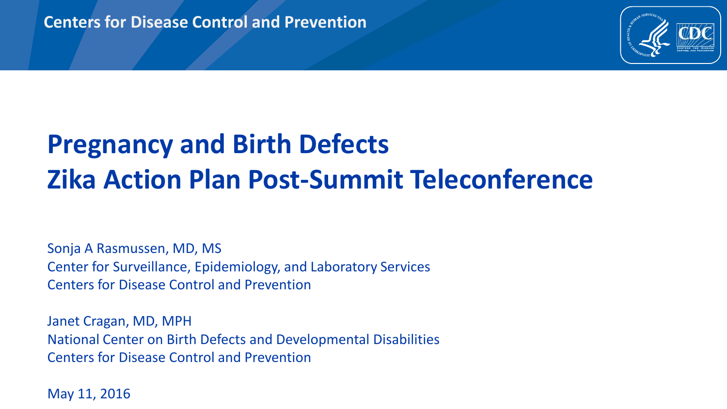

# **Pregnancy and Birth Defects Zika Action Plan Post-Summit Teleconference**

Sonja A Rasmussen, MD, MS Center for Surveillance, Epidemiology, and Laboratory Services Centers for Disease Control and Prevention

Janet Cragan, MD, MPH National Center on Birth Defects and Developmental Disabilities Centers for Disease Control and Prevention

May 11, 2016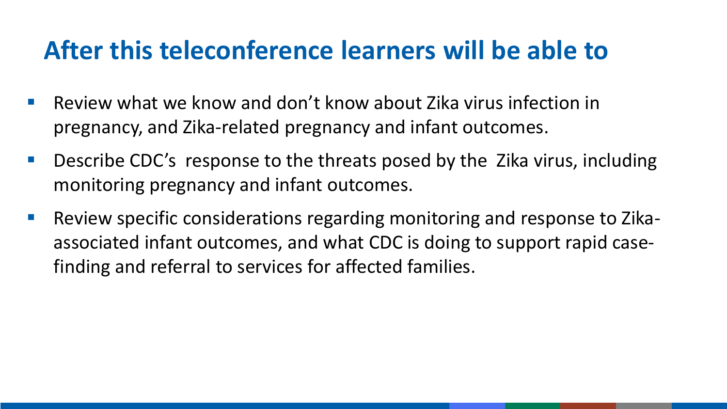## **After this teleconference learners will be able to**

- Review what we know and don't know about Zika virus infection in pregnancy, and Zika-related pregnancy and infant outcomes.
- Describe CDC's response to the threats posed by the Zika virus, including monitoring pregnancy and infant outcomes.
- Review specific considerations regarding monitoring and response to Zikaassociated infant outcomes, and what CDC is doing to support rapid casefinding and referral to services for affected families.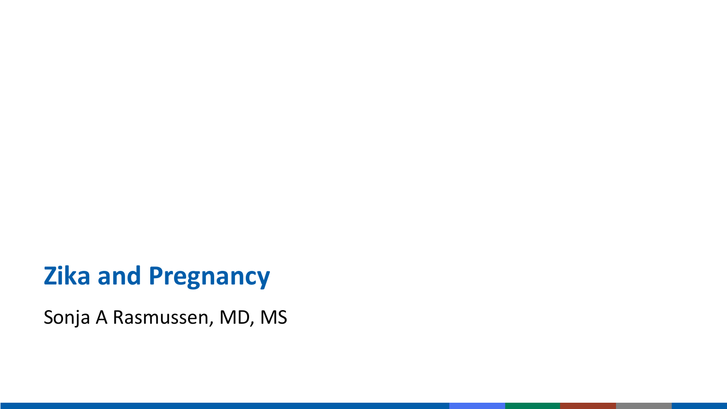#### **Zika and Pregnancy**

Sonja A Rasmussen, MD, MS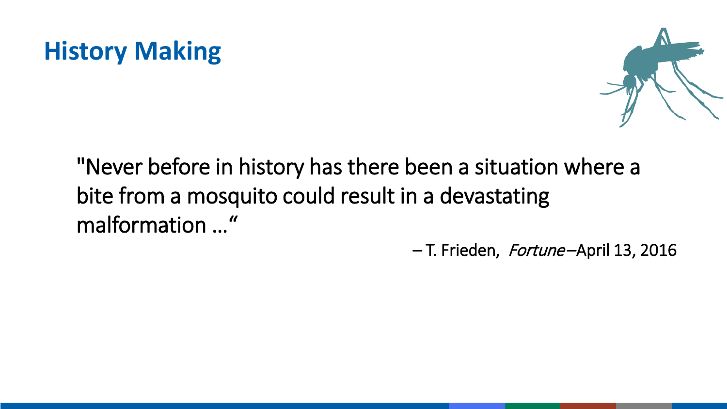



"Never before in history has there been a situation where a bite from a mosquito could result in a devastating malformation ..."<br>
- T. Frieden, Fortune-April 13, 2016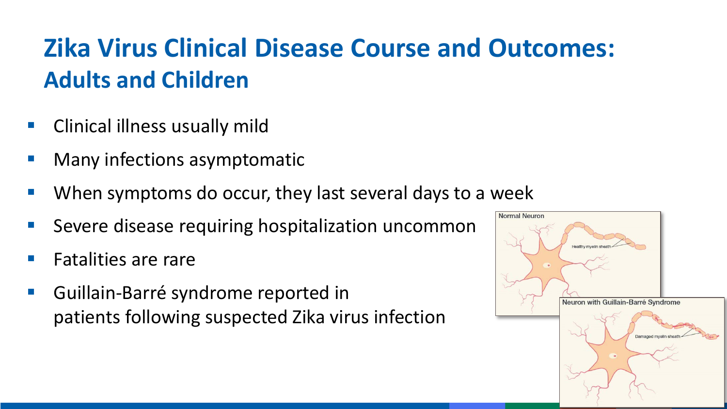# **Zika Virus Clinical Disease Course and Outcomes: Adults and Children**

- Clinical illness usually mild
- Many infections asymptomatic
- When symptoms do occur, they last several days to a week
- Severe disease requiring hospitalization uncommon
- Fatalities are rare
- Guillain-Barré syndrome reported in patients following suspected Zika virus infection

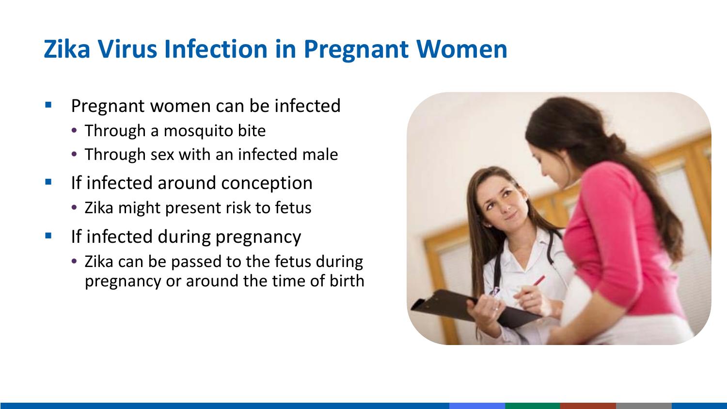#### **Zika Virus Infection in Pregnant Women**

- **Pregnant women can be infected** 
	- Through a mosquito bite
	- Through sex with an infected male
- **If infected around conception** 
	- Zika might present risk to fetus
- **If infected during pregnancy** 
	- Zika can be passed to the fetus during pregnancy or around the time of birth

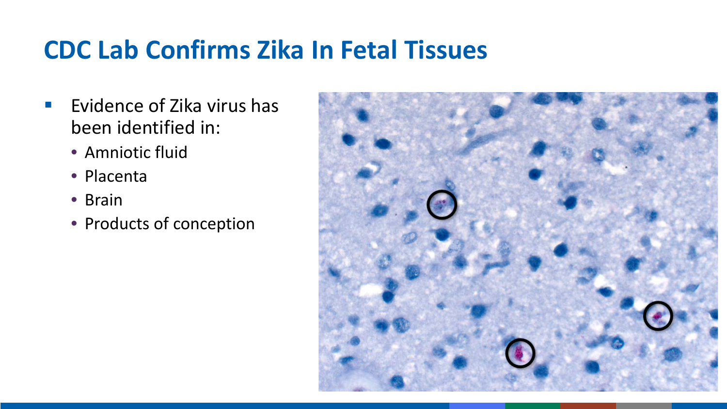# **CDC Lab Confirms Zika In Fetal Tissues**

- Evidence of Zika virus has been identified in:
	- Amniotic fluid
	- Placenta
	- Brain
	- Products of conception

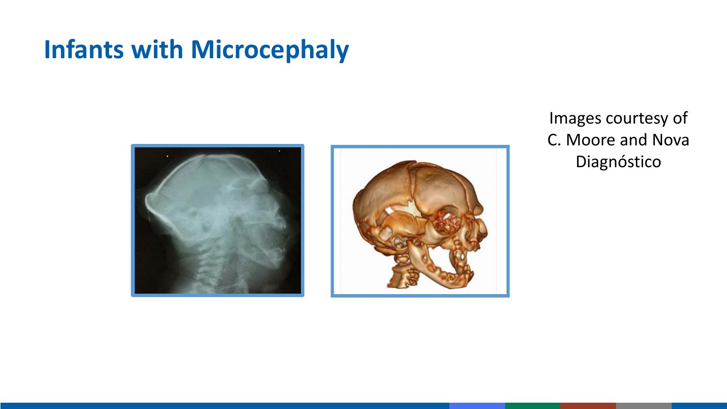## **Infants with Microcephaly**





Images courtesy of C. Moore and Nova Diagnóstico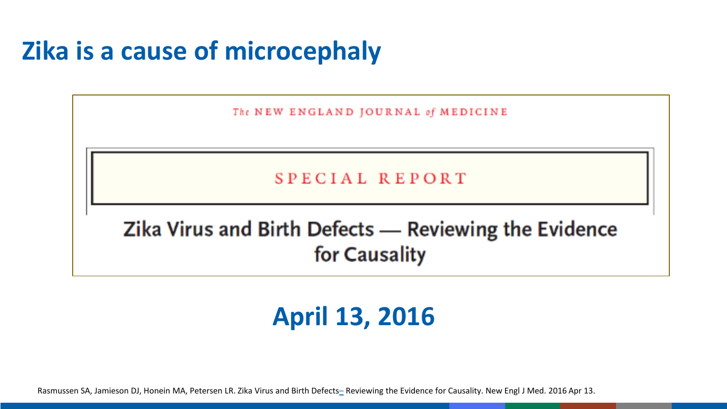## **Zika is a cause of microcephaly**

The NEW ENGLAND JOURNAL of MEDICINE

SPECIAL REPORT

Zika Virus and Birth Defects - Reviewing the Evidence for Causality

#### **April 13, 2016**

Rasmussen SA, Jamieson DJ, Honein MA, Petersen LR. Zika Virus and Birth Defects[–](http://www.cdc.gov/ncbddd/birthdefects/microcephaly.html) Reviewing the Evidence for Causality. New Engl J Med. 2016 Apr 13.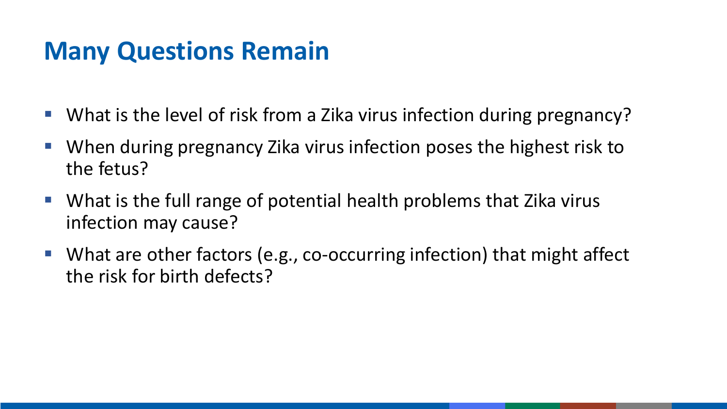#### **Many Questions Remain**

- What is the level of risk from a Zika virus infection during pregnancy?
- When during pregnancy Zika virus infection poses the highest risk to the fetus?
- What is the full range of potential health problems that Zika virus infection may cause?
- What are other factors (e.g., co-occurring infection) that might affect the risk for birth defects?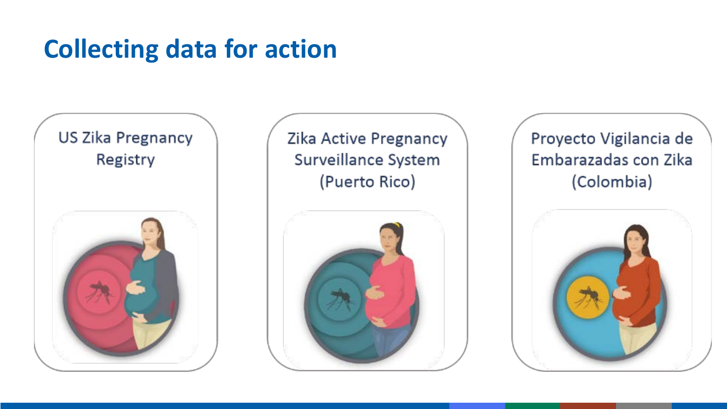## **Collecting data for action**



#### Zika Active Pregnancy Surveillance System (Puerto Rico)



#### Proyecto Vigilancia de Embarazadas con Zika (Colombia)

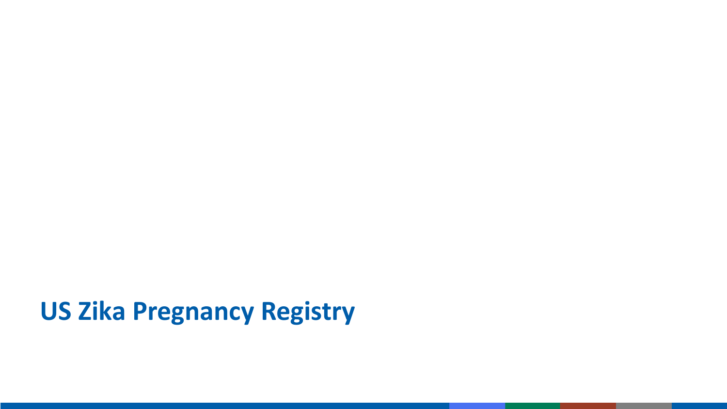# **US Zika Pregnancy Registry**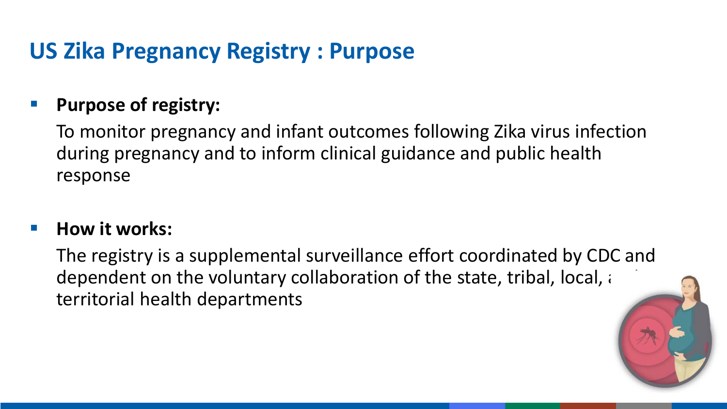#### **US Zika Pregnancy Registry : Purpose**

#### **Purpose of registry:**

To monitor pregnancy and infant outcomes following Zika virus infection during pregnancy and to inform clinical guidance and public health response

#### **How it works:**

The registry is a supplemental surveillance effort coordinated by CDC and dependent on the voluntary collaboration of the state, tribal, local,  $\alpha$ territorial health departments

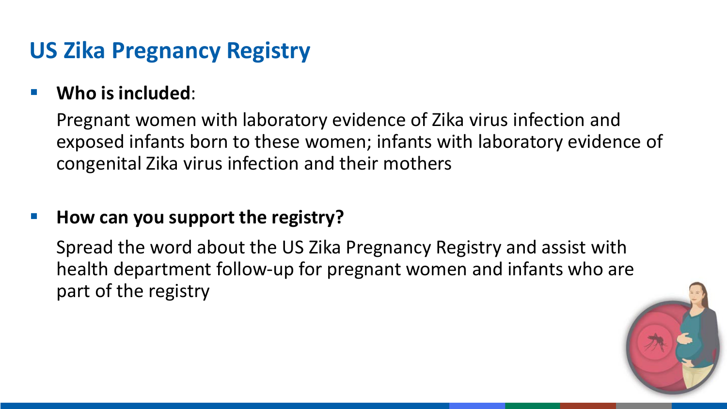#### **US Zika Pregnancy Registry**

#### **Who is included**:

Pregnant women with laboratory evidence of Zika virus infection and exposed infants born to these women; infants with laboratory evidence of congenital Zika virus infection and their mothers

#### **How can you support the registry?**

Spread the word about the US Zika Pregnancy Registry and assist with health department follow-up for pregnant women and infants who are part of the registry

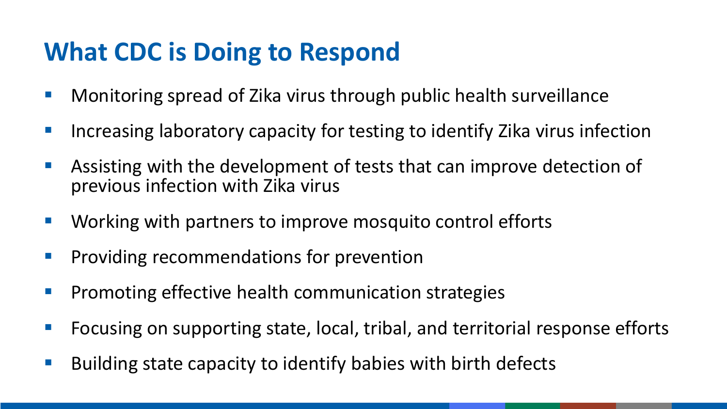## **What CDC is Doing to Respond**

- **Monitoring spread of Zika virus through public health surveillance**
- **I** Increasing laboratory capacity for testing to identify Zika virus infection
- Assisting with the development of tests that can improve detection of previous infection with Zika virus
- **Working with partners to improve mosquito control efforts**
- **Providing recommendations for prevention**
- **Promoting effective health communication strategies**
- Focusing on supporting state, local, tribal, and territorial response efforts
- $\blacksquare$  Building state capacity to identify babies with birth defects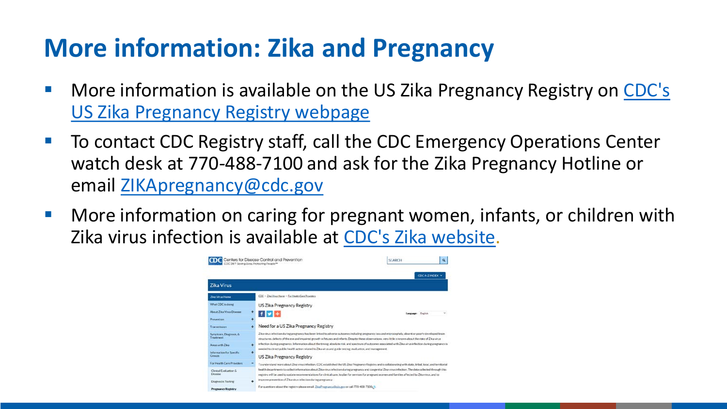# **More information: Zika and Pregnancy**

- **More information is available on the US Zika Pregnancy Registry on CDC's** US Zika Pregnancy Registry webpage
- To contact CDC Registry staff, call the CDC Emergency Operations Center watch desk at 770-488-7100 and ask for the Zika Pregnancy Hotline or email [ZIKApregnancy@cdc.gov](mailto:ZIKApregnancy@cdc.gov)
- **More information on caring for pregnant women, infants, or children with** Zika virus infection is available at [CDC's Zika website.](http://www.cdc.gov/zika/index.html)

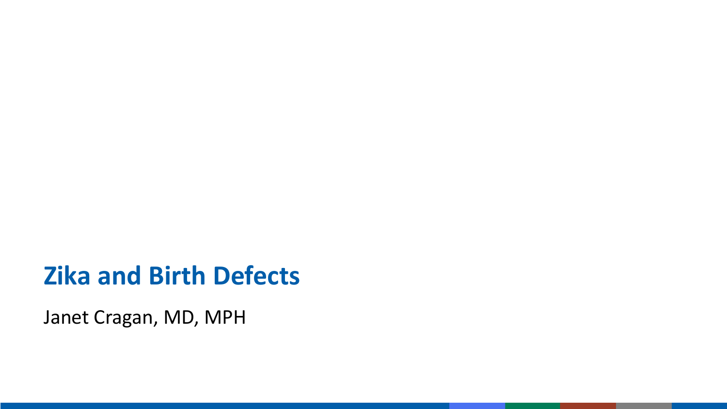#### **Zika and Birth Defects**

Janet Cragan, MD, MPH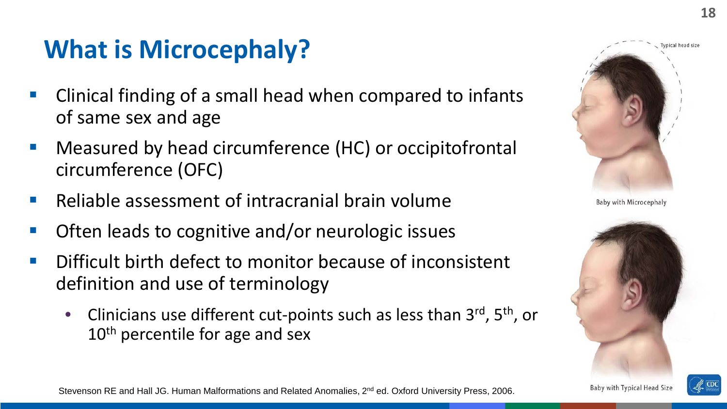## **What is Microcephaly?**

- Clinical finding of a small head when compared to infants of same sex and age
- Measured by head circumference (HC) or occipitofrontal circumference (OFC)
- Reliable assessment of intracranial brain volume
- Often leads to cognitive and/or neurologic issues
- Difficult birth defect to monitor because of inconsistent definition and use of terminology
	- Clinicians use different cut-points such as less than  $3^{rd}$ ,  $5^{th}$ , or 10<sup>th</sup> percentile for age and sex





Stevenson RE and Hall JG. Human Malformations and Related Anomalies, 2<sup>nd</sup> ed. Oxford University Press, 2006.

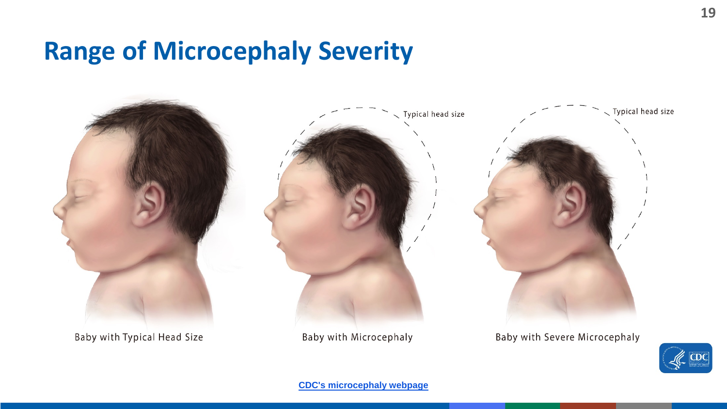#### **Range of Microcephaly Severity**



Baby with Typical Head Size

Baby with Microcephaly

Baby with Severe Microcephaly

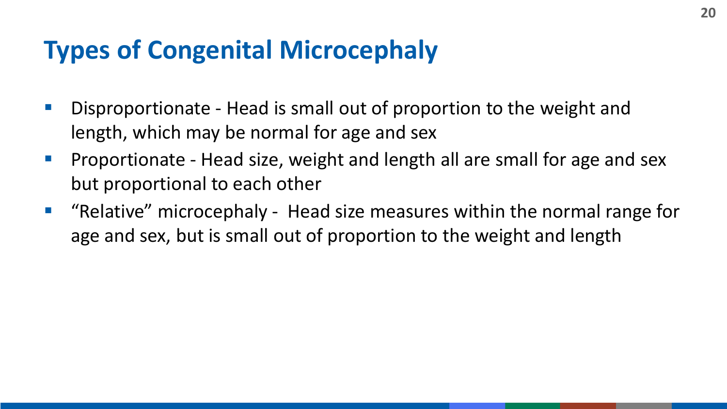### **Types of Congenital Microcephaly**

- **Disproportionate Head is small out of proportion to the weight and** length, which may be normal for age and sex
- **Proportionate Head size, weight and length all are small for age and sex** but proportional to each other
- "Relative" microcephaly Head size measures within the normal range for age and sex, but is small out of proportion to the weight and length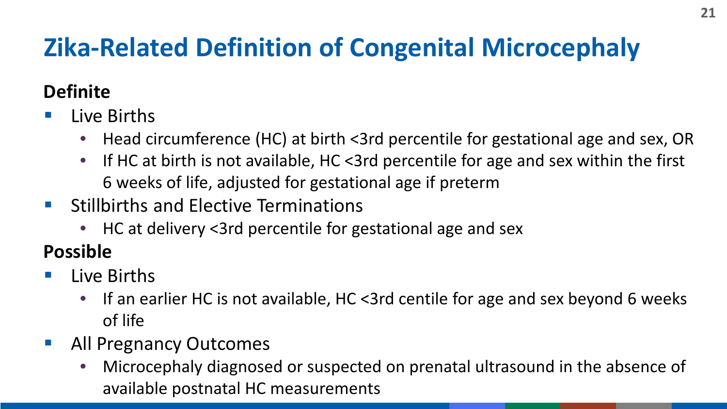# **Zika-Related Definition of Congenital Microcephaly**

#### **Definite**

- $\blacksquare$  Live Births
	- Head circumference (HC) at birth <3rd percentile for gestational age and sex, OR
	- If HC at birth is not available, HC <3rd percentile for age and sex within the first 6 weeks of life, adjusted for gestational age if preterm
- **Stillbirths and Elective Terminations** 
	- HC at delivery <3rd percentile for gestational age and sex

#### **Possible**

- $\blacksquare$  Live Births
	- If an earlier HC is not available, HC <3rd centile for age and sex beyond 6 weeks of life
- **All Pregnancy Outcomes** 
	- Microcephaly diagnosed or suspected on prenatal ultrasound in the absence of available postnatal HC measurements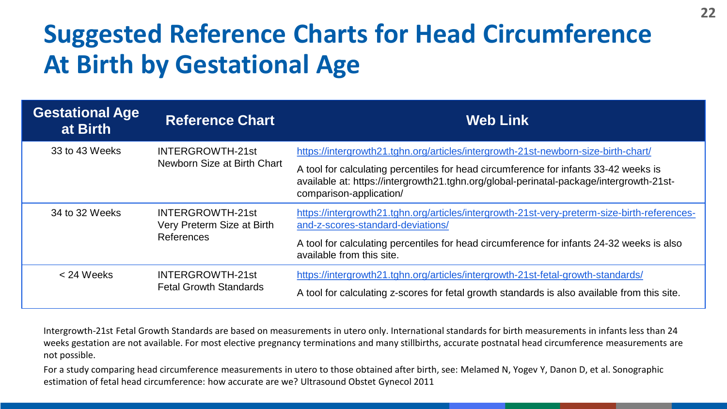# **Suggested Reference Charts for Head Circumference At Birth by Gestational Age**

| <b>Gestational Age</b><br>at Birth | <b>Reference Chart</b>                                       | <b>Web Link</b>                                                                                                                                                                                            |
|------------------------------------|--------------------------------------------------------------|------------------------------------------------------------------------------------------------------------------------------------------------------------------------------------------------------------|
| 33 to 43 Weeks                     | INTERGROWTH-21st<br>Newborn Size at Birth Chart              | https://intergrowth21.tghn.org/articles/intergrowth-21st-newborn-size-birth-chart/                                                                                                                         |
|                                    |                                                              | A tool for calculating percentiles for head circumference for infants 33-42 weeks is<br>available at: https://intergrowth21.tghn.org/global-perinatal-package/intergrowth-21st-<br>comparison-application/ |
| 34 to 32 Weeks                     | INTERGROWTH-21st<br>Very Preterm Size at Birth<br>References | https://intergrowth21.tghn.org/articles/intergrowth-21st-very-preterm-size-birth-references-<br>and-z-scores-standard-deviations/                                                                          |
|                                    |                                                              | A tool for calculating percentiles for head circumference for infants 24-32 weeks is also<br>available from this site.                                                                                     |
| $<$ 24 Weeks                       | INTERGROWTH-21st<br><b>Fetal Growth Standards</b>            | https://intergrowth21.tghn.org/articles/intergrowth-21st-fetal-growth-standards/                                                                                                                           |
|                                    |                                                              | A tool for calculating z-scores for fetal growth standards is also available from this site.                                                                                                               |

Intergrowth-21st Fetal Growth Standards are based on measurements in utero only. International standards for birth measurements in infants less than 24 weeks gestation are not available. For most elective pregnancy terminations and many stillbirths, accurate postnatal head circumference measurements are not possible.

For a study comparing head circumference measurements in utero to those obtained after birth, see: Melamed N, Yogev Y, Danon D, et al. Sonographic estimation of fetal head circumference: how accurate are we? Ultrasound Obstet Gynecol 2011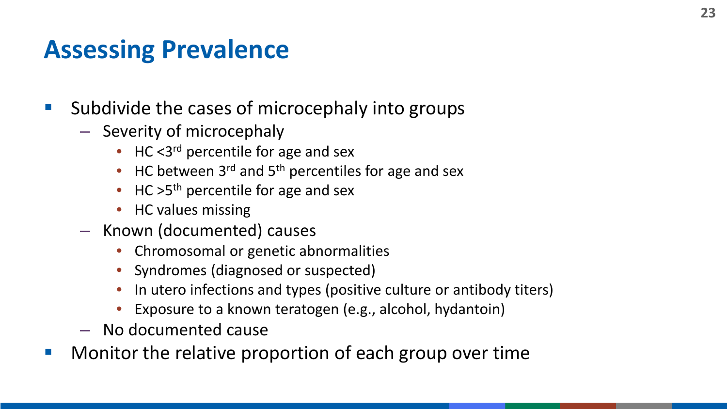#### **Assessing Prevalence**

- Subdivide the cases of microcephaly into groups
	- Severity of microcephaly
		- HC  $<3^{rd}$  percentile for age and sex
		- HC between  $3^{rd}$  and  $5^{th}$  percentiles for age and sex
		- HC  $>5<sup>th</sup>$  percentile for age and sex
		- HC values missing
	- Known (documented) causes
		- Chromosomal or genetic abnormalities
		- Syndromes (diagnosed or suspected)
		- In utero infections and types (positive culture or antibody titers)
		- Exposure to a known teratogen (e.g., alcohol, hydantoin)
	- No documented cause
- **Monitor the relative proportion of each group over time**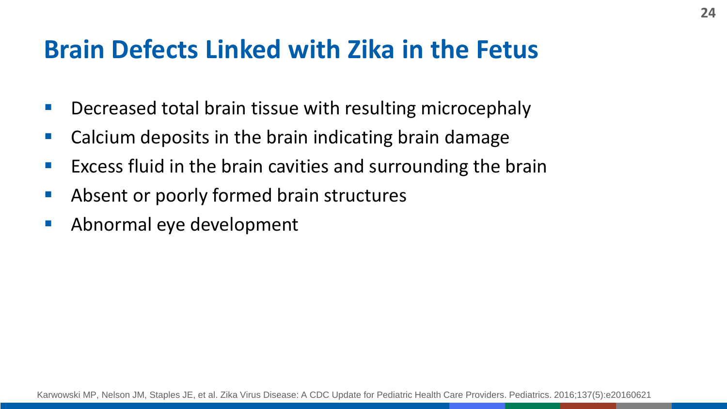#### **Brain Defects Linked with Zika in the Fetus**

- **Decreased total brain tissue with resulting microcephaly**
- **E** Calcium deposits in the brain indicating brain damage
- **Excess fluid in the brain cavities and surrounding the brain**
- **Absent or poorly formed brain structures**
- **Abnormal eye development**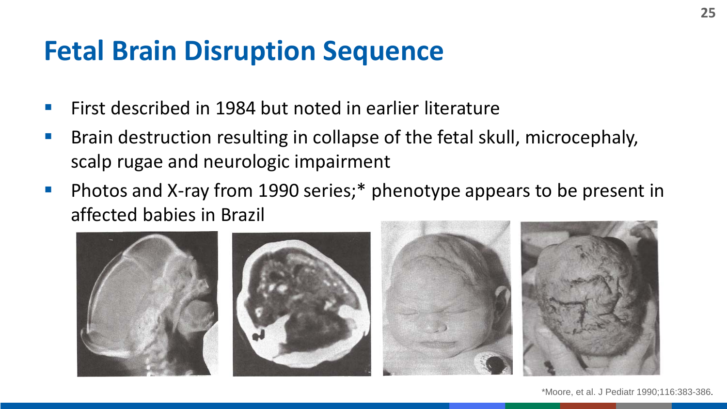# **Fetal Brain Disruption Sequence**

- First described in 1984 but noted in earlier literature
- **Brain destruction resulting in collapse of the fetal skull, microcephaly,** scalp rugae and neurologic impairment
- **Photos and X-ray from 1990 series;**  $*$  phenotype appears to be present in affected babies in Brazil



\*Moore, et al. J Pediatr 1990;116:383-386.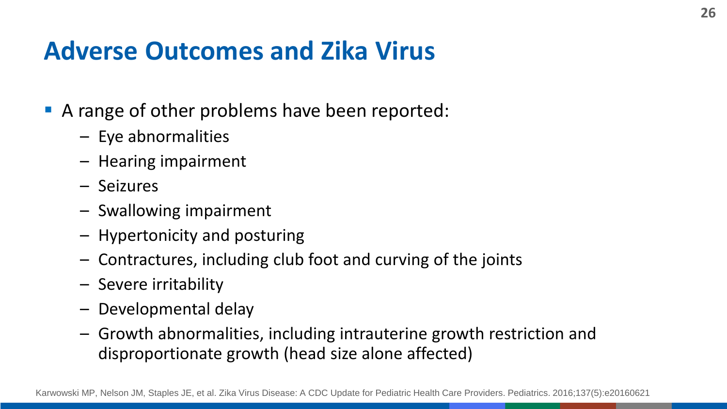## **Adverse Outcomes and Zika Virus**

- A range of other problems have been reported:
	- Eye abnormalities
	- Hearing impairment
	- Seizures
	- Swallowing impairment
	- Hypertonicity and posturing
	- Contractures, including club foot and curving of the joints
	- Severe irritability
	- Developmental delay
	- Growth abnormalities, including intrauterine growth restriction and disproportionate growth (head size alone affected)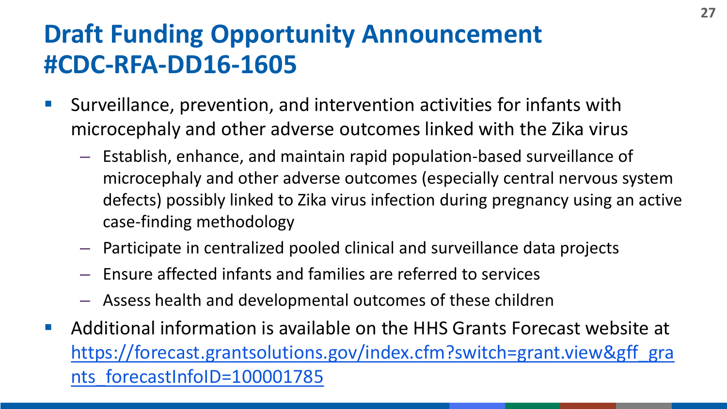# **Draft Funding Opportunity Announcement #CDC-RFA-DD16-1605**

- Surveillance, prevention, and intervention activities for infants with microcephaly and other adverse outcomes linked with the Zika virus
	- Establish, enhance, and maintain rapid population-based surveillance of microcephaly and other adverse outcomes (especially central nervous system defects) possibly linked to Zika virus infection during pregnancy using an active case-finding methodology
	- Participate in centralized pooled clinical and surveillance data projects
	- Ensure affected infants and families are referred to services
	- Assess health and developmental outcomes of these children
- Additional information is available on the HHS Grants Forecast website at https://forecast.grantsolutions.gov/index.cfm?switch=grant.view&gff\_gra nts forecastInfoID=100001785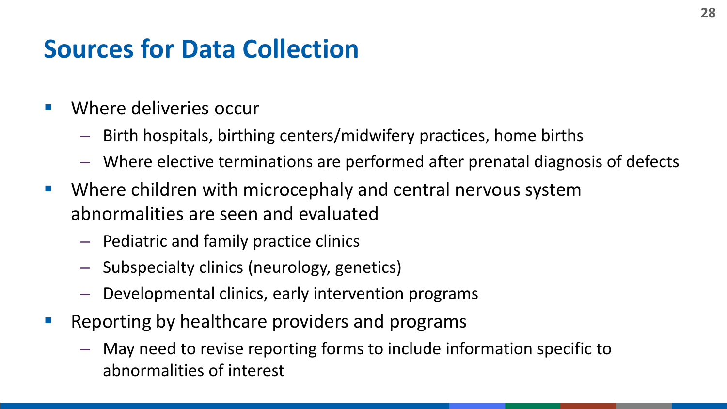## **Sources for Data Collection**

- Where deliveries occur
	- Birth hospitals, birthing centers/midwifery practices, home births
	- Where elective terminations are performed after prenatal diagnosis of defects
- Where children with microcephaly and central nervous system abnormalities are seen and evaluated
	- Pediatric and family practice clinics
	- Subspecialty clinics (neurology, genetics)
	- Developmental clinics, early intervention programs
- **Reporting by healthcare providers and programs** 
	- May need to revise reporting forms to include information specific to abnormalities of interest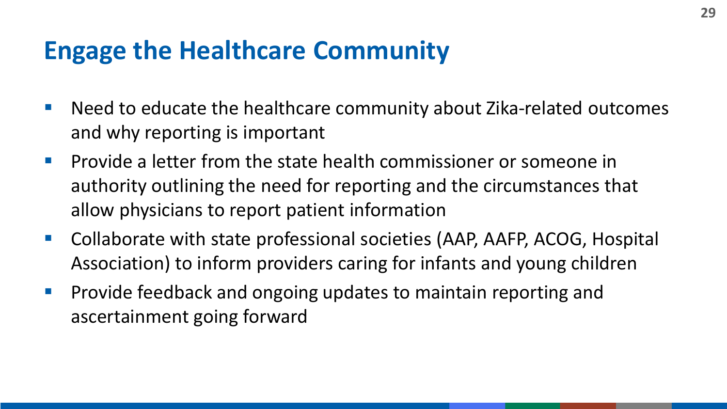#### **Engage the Healthcare Community**

- Need to educate the healthcare community about Zika-related outcomes and why reporting is important
- **Provide a letter from the state health commissioner or someone in** authority outlining the need for reporting and the circumstances that allow physicians to report patient information
- Collaborate with state professional societies (AAP, AAFP, ACOG, Hospital Association) to inform providers caring for infants and young children
- **Provide feedback and ongoing updates to maintain reporting and** ascertainment going forward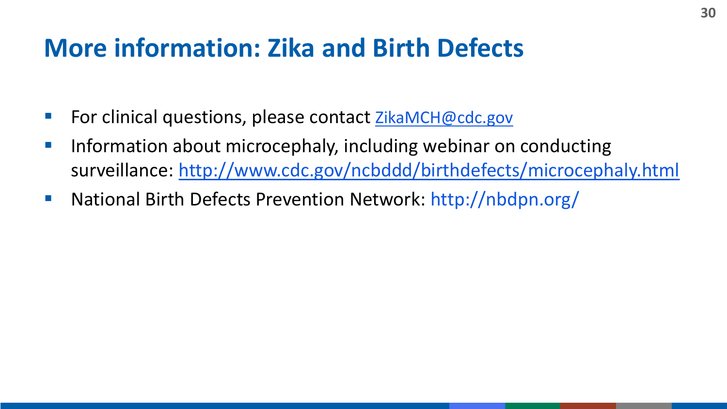#### **More information: Zika and Birth Defects**

- For clinical questions, please contact  $ZikamCH@cdc.gov$
- **Information about microcephaly, including webinar on conducting** surveillance: <http://www.cdc.gov/ncbddd/birthdefects/microcephaly.html>
- National Birth Defects Prevention Network: http://nbdpn.org/